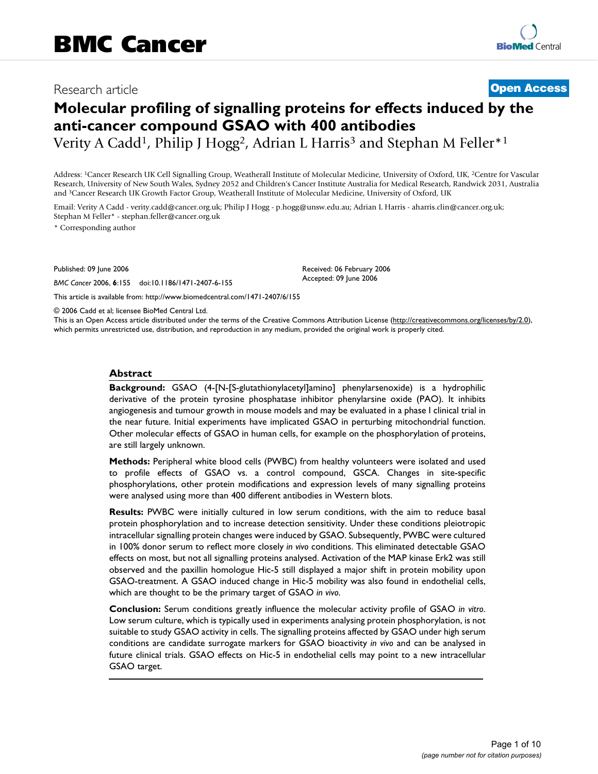# Research article **[Open Access](http://www.biomedcentral.com/info/about/charter/)**

# **Molecular profiling of signalling proteins for effects induced by the anti-cancer compound GSAO with 400 antibodies**

Verity A Cadd<sup>1</sup>, Philip J Hogg<sup>2</sup>, Adrian L Harris<sup>3</sup> and Stephan M Feller<sup>\*1</sup>

Address: 1Cancer Research UK Cell Signalling Group, Weatherall Institute of Molecular Medicine, University of Oxford, UK, 2Centre for Vascular Research, University of New South Wales, Sydney 2052 and Children's Cancer Institute Australia for Medical Research, Randwick 2031, Australia and 3Cancer Research UK Growth Factor Group, Weatherall Institute of Molecular Medicine, University of Oxford, UK

Email: Verity A Cadd - verity.cadd@cancer.org.uk; Philip J Hogg - p.hogg@unsw.edu.au; Adrian L Harris - aharris.clin@cancer.org.uk; Stephan M Feller\* - stephan.feller@cancer.org.uk

\* Corresponding author

Published: 09 June 2006

*BMC Cancer* 2006, **6**:155 doi:10.1186/1471-2407-6-155

[This article is available from: http://www.biomedcentral.com/1471-2407/6/155](http://www.biomedcentral.com/1471-2407/6/155)

© 2006 Cadd et al; licensee BioMed Central Ltd.

This is an Open Access article distributed under the terms of the Creative Commons Attribution License [\(http://creativecommons.org/licenses/by/2.0\)](http://creativecommons.org/licenses/by/2.0), which permits unrestricted use, distribution, and reproduction in any medium, provided the original work is properly cited.

Received: 06 February 2006 Accepted: 09 June 2006

#### **Abstract**

**Background:** GSAO (4-[N-[S-glutathionylacetyl]amino] phenylarsenoxide) is a hydrophilic derivative of the protein tyrosine phosphatase inhibitor phenylarsine oxide (PAO). It inhibits angiogenesis and tumour growth in mouse models and may be evaluated in a phase I clinical trial in the near future. Initial experiments have implicated GSAO in perturbing mitochondrial function. Other molecular effects of GSAO in human cells, for example on the phosphorylation of proteins, are still largely unknown.

**Methods:** Peripheral white blood cells (PWBC) from healthy volunteers were isolated and used to profile effects of GSAO vs. a control compound, GSCA. Changes in site-specific phosphorylations, other protein modifications and expression levels of many signalling proteins were analysed using more than 400 different antibodies in Western blots.

**Results:** PWBC were initially cultured in low serum conditions, with the aim to reduce basal protein phosphorylation and to increase detection sensitivity. Under these conditions pleiotropic intracellular signalling protein changes were induced by GSAO. Subsequently, PWBC were cultured in 100% donor serum to reflect more closely *in vivo* conditions. This eliminated detectable GSAO effects on most, but not all signalling proteins analysed. Activation of the MAP kinase Erk2 was still observed and the paxillin homologue Hic-5 still displayed a major shift in protein mobility upon GSAO-treatment. A GSAO induced change in Hic-5 mobility was also found in endothelial cells, which are thought to be the primary target of GSAO *in vivo*.

**Conclusion:** Serum conditions greatly influence the molecular activity profile of GSAO *in vitro*. Low serum culture, which is typically used in experiments analysing protein phosphorylation, is not suitable to study GSAO activity in cells. The signalling proteins affected by GSAO under high serum conditions are candidate surrogate markers for GSAO bioactivity *in vivo* and can be analysed in future clinical trials. GSAO effects on Hic-5 in endothelial cells may point to a new intracellular GSAO target.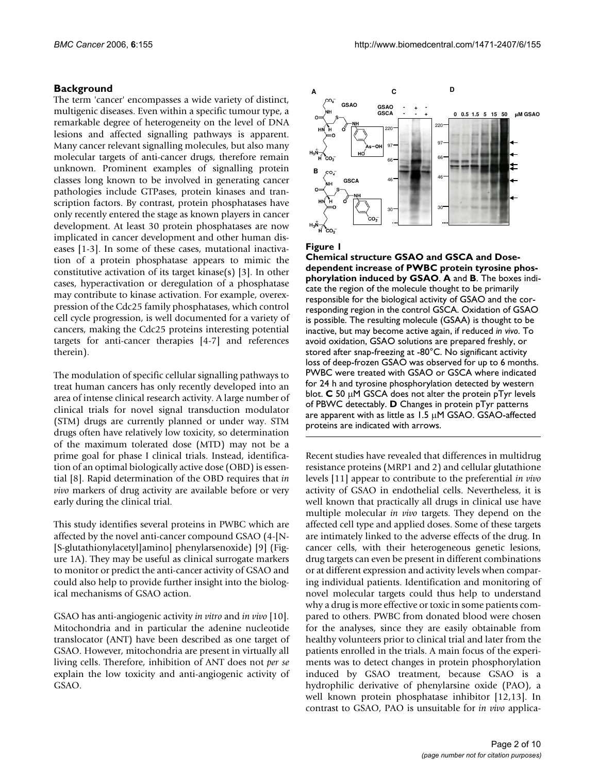#### **Background**

The term 'cancer' encompasses a wide variety of distinct, multigenic diseases. Even within a specific tumour type, a remarkable degree of heterogeneity on the level of DNA lesions and affected signalling pathways is apparent. Many cancer relevant signalling molecules, but also many molecular targets of anti-cancer drugs, therefore remain unknown. Prominent examples of signalling protein classes long known to be involved in generating cancer pathologies include GTPases, protein kinases and transcription factors. By contrast, protein phosphatases have only recently entered the stage as known players in cancer development. At least 30 protein phosphatases are now implicated in cancer development and other human diseases [1-3]. In some of these cases, mutational inactivation of a protein phosphatase appears to mimic the constitutive activation of its target kinase(s) [3]. In other cases, hyperactivation or deregulation of a phosphatase may contribute to kinase activation. For example, overexpression of the Cdc25 family phosphatases, which control cell cycle progression, is well documented for a variety of cancers, making the Cdc25 proteins interesting potential targets for anti-cancer therapies [4-7] and references therein).

The modulation of specific cellular signalling pathways to treat human cancers has only recently developed into an area of intense clinical research activity. A large number of clinical trials for novel signal transduction modulator (STM) drugs are currently planned or under way. STM drugs often have relatively low toxicity, so determination of the maximum tolerated dose (MTD) may not be a prime goal for phase I clinical trials. Instead, identification of an optimal biologically active dose (OBD) is essential [8]. Rapid determination of the OBD requires that *in vivo* markers of drug activity are available before or very early during the clinical trial.

This study identifies several proteins in PWBC which are affected by the novel anti-cancer compound GSAO (4-[N- [S-glutathionylacetyl]amino] phenylarsenoxide) [9] (Figure 1A). They may be useful as clinical surrogate markers to monitor or predict the anti-cancer activity of GSAO and could also help to provide further insight into the biological mechanisms of GSAO action.

GSAO has anti-angiogenic activity *in vitro* and *in vivo* [10]. Mitochondria and in particular the adenine nucleotide translocator (ANT) have been described as one target of GSAO. However, mitochondria are present in virtually all living cells. Therefore, inhibition of ANT does not *per se* explain the low toxicity and anti-angiogenic activity of GSAO.



#### Figure 1

**Chemical structure GSAO and GSCA and Dosedependent increase of PWBC protein tyrosine phosphorylation induced by GSAO**. **A** and **B**. The boxes indicate the region of the molecule thought to be primarily responsible for the biological activity of GSAO and the corresponding region in the control GSCA. Oxidation of GSAO is possible. The resulting molecule (GSAA) is thought to be inactive, but may become active again, if reduced *in vivo*. To avoid oxidation, GSAO solutions are prepared freshly, or stored after snap-freezing at -80°C. No significant activity loss of deep-frozen GSAO was observed for up to 6 months. PWBC were treated with GSAO or GSCA where indicated for 24 h and tyrosine phosphorylation detected by western blot. **C** 50 μM GSCA does not alter the protein pTyr levels of PBWC detectably. **D** Changes in protein pTyr patterns are apparent with as little as 1.5 μM GSAO. GSAO-affected proteins are indicated with arrows.

Recent studies have revealed that differences in multidrug resistance proteins (MRP1 and 2) and cellular glutathione levels [11] appear to contribute to the preferential *in vivo* activity of GSAO in endothelial cells. Nevertheless, it is well known that practically all drugs in clinical use have multiple molecular *in vivo* targets. They depend on the affected cell type and applied doses. Some of these targets are intimately linked to the adverse effects of the drug. In cancer cells, with their heterogeneous genetic lesions, drug targets can even be present in different combinations or at different expression and activity levels when comparing individual patients. Identification and monitoring of novel molecular targets could thus help to understand why a drug is more effective or toxic in some patients compared to others. PWBC from donated blood were chosen for the analyses, since they are easily obtainable from healthy volunteers prior to clinical trial and later from the patients enrolled in the trials. A main focus of the experiments was to detect changes in protein phosphorylation induced by GSAO treatment, because GSAO is a hydrophilic derivative of phenylarsine oxide (PAO), a well known protein phosphatase inhibitor [12,13]. In contrast to GSAO, PAO is unsuitable for *in vivo* applica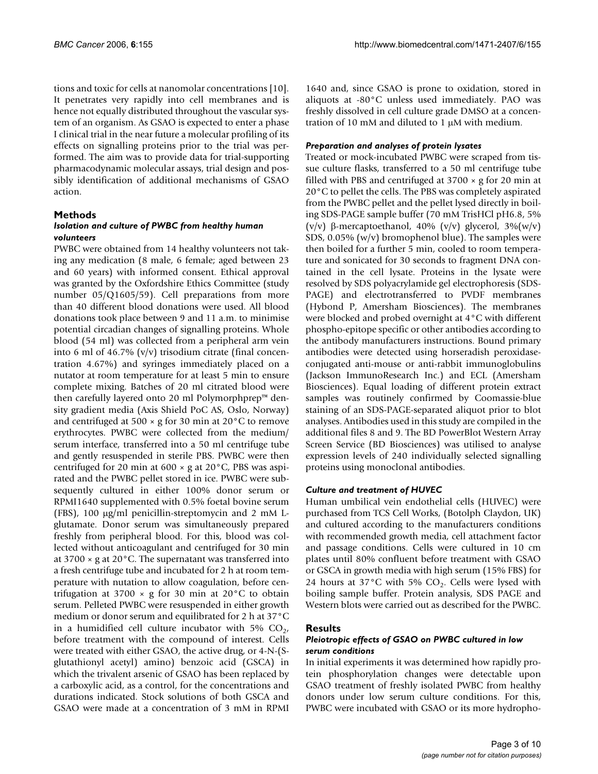tions and toxic for cells at nanomolar concentrations [10]. It penetrates very rapidly into cell membranes and is hence not equally distributed throughout the vascular system of an organism. As GSAO is expected to enter a phase I clinical trial in the near future a molecular profiling of its effects on signalling proteins prior to the trial was performed. The aim was to provide data for trial-supporting pharmacodynamic molecular assays, trial design and possibly identification of additional mechanisms of GSAO action.

#### **Methods**

#### *Isolation and culture of PWBC from healthy human volunteers*

PWBC were obtained from 14 healthy volunteers not taking any medication (8 male, 6 female; aged between 23 and 60 years) with informed consent. Ethical approval was granted by the Oxfordshire Ethics Committee (study number 05/Q1605/59). Cell preparations from more than 40 different blood donations were used. All blood donations took place between 9 and 11 a.m. to minimise potential circadian changes of signalling proteins. Whole blood (54 ml) was collected from a peripheral arm vein into 6 ml of 46.7% (v/v) trisodium citrate (final concentration 4.67%) and syringes immediately placed on a nutator at room temperature for at least 5 min to ensure complete mixing. Batches of 20 ml citrated blood were then carefully layered onto 20 ml Polymorphprep™ density gradient media (Axis Shield PoC AS, Oslo, Norway) and centrifuged at  $500 \times g$  for 30 min at  $20^{\circ}$ C to remove erythrocytes. PWBC were collected from the medium/ serum interface, transferred into a 50 ml centrifuge tube and gently resuspended in sterile PBS. PWBC were then centrifuged for 20 min at 600 × g at 20°C, PBS was aspirated and the PWBC pellet stored in ice. PWBC were subsequently cultured in either 100% donor serum or RPMI1640 supplemented with 0.5% foetal bovine serum (FBS), 100 μg/ml penicillin-streptomycin and 2 mM Lglutamate. Donor serum was simultaneously prepared freshly from peripheral blood. For this, blood was collected without anticoagulant and centrifuged for 30 min at 3700  $\times$  g at 20 $^{\circ}$ C. The supernatant was transferred into a fresh centrifuge tube and incubated for 2 h at room temperature with nutation to allow coagulation, before centrifugation at 3700  $\times$  g for 30 min at 20 $\degree$ C to obtain serum. Pelleted PWBC were resuspended in either growth medium or donor serum and equilibrated for 2 h at 37°C in a humidified cell culture incubator with 5%  $CO<sub>2</sub>$ , before treatment with the compound of interest. Cells were treated with either GSAO, the active drug, or 4-N-(Sglutathionyl acetyl) amino) benzoic acid (GSCA) in which the trivalent arsenic of GSAO has been replaced by a carboxylic acid, as a control, for the concentrations and durations indicated. Stock solutions of both GSCA and GSAO were made at a concentration of 3 mM in RPMI

1640 and, since GSAO is prone to oxidation, stored in aliquots at -80°C unless used immediately. PAO was freshly dissolved in cell culture grade DMSO at a concentration of 10 mM and diluted to 1 μM with medium.

#### *Preparation and analyses of protein lysates*

Treated or mock-incubated PWBC were scraped from tissue culture flasks, transferred to a 50 ml centrifuge tube filled with PBS and centrifuged at  $3700 \times g$  for 20 min at 20°C to pellet the cells. The PBS was completely aspirated from the PWBC pellet and the pellet lysed directly in boiling SDS-PAGE sample buffer (70 mM TrisHCl pH6.8, 5% (v/v) β-mercaptoethanol, 40% (v/v) glycerol, 3%(w/v) SDS, 0.05% (w/v) bromophenol blue). The samples were then boiled for a further 5 min, cooled to room temperature and sonicated for 30 seconds to fragment DNA contained in the cell lysate. Proteins in the lysate were resolved by SDS polyacrylamide gel electrophoresis (SDS-PAGE) and electrotransferred to PVDF membranes (Hybond P, Amersham Biosciences). The membranes were blocked and probed overnight at 4°C with different phospho-epitope specific or other antibodies according to the antibody manufacturers instructions. Bound primary antibodies were detected using horseradish peroxidaseconjugated anti-mouse or anti-rabbit immunoglobulins (Jackson ImmunoResearch Inc.) and ECL (Amersham Biosciences). Equal loading of different protein extract samples was routinely confirmed by Coomassie-blue staining of an SDS-PAGE-separated aliquot prior to blot analyses. Antibodies used in this study are compiled in the additional files 8 and 9. The BD PowerBlot Western Array Screen Service (BD Biosciences) was utilised to analyse expression levels of 240 individually selected signalling proteins using monoclonal antibodies.

### *Culture and treatment of HUVEC*

Human umbilical vein endothelial cells (HUVEC) were purchased from TCS Cell Works, (Botolph Claydon, UK) and cultured according to the manufacturers conditions with recommended growth media, cell attachment factor and passage conditions. Cells were cultured in 10 cm plates until 80% confluent before treatment with GSAO or GSCA in growth media with high serum (15% FBS) for 24 hours at 37°C with 5%  $CO<sub>2</sub>$ . Cells were lysed with boiling sample buffer. Protein analysis, SDS PAGE and Western blots were carried out as described for the PWBC.

#### **Results**

#### *Pleiotropic effects of GSAO on PWBC cultured in low serum conditions*

In initial experiments it was determined how rapidly protein phosphorylation changes were detectable upon GSAO treatment of freshly isolated PWBC from healthy donors under low serum culture conditions. For this, PWBC were incubated with GSAO or its more hydropho-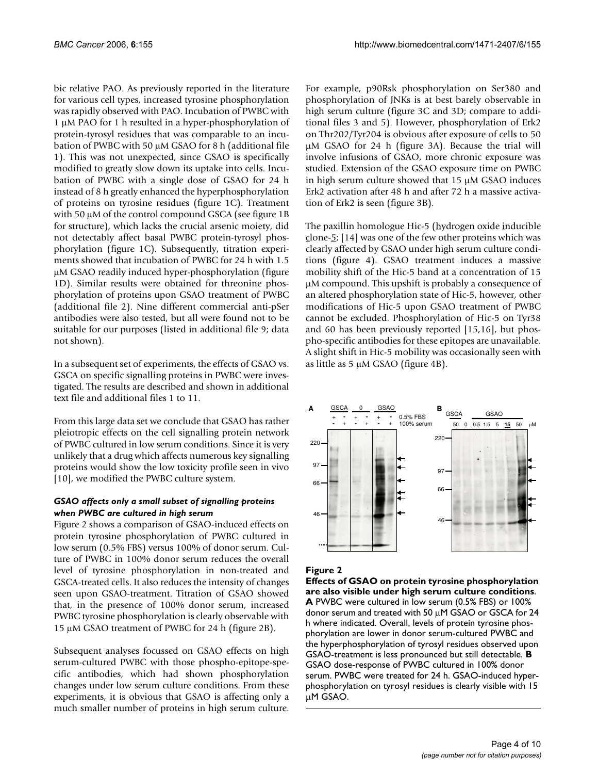bic relative PAO. As previously reported in the literature for various cell types, increased tyrosine phosphorylation was rapidly observed with PAO. Incubation of PWBC with 1 μM PAO for 1 h resulted in a hyper-phosphorylation of protein-tyrosyl residues that was comparable to an incubation of PWBC with 50 μM GSAO for 8 h (additional file 1). This was not unexpected, since GSAO is specifically modified to greatly slow down its uptake into cells. Incubation of PWBC with a single dose of GSAO for 24 h instead of 8 h greatly enhanced the hyperphosphorylation of proteins on tyrosine residues (figure 1C). Treatment with 50 μM of the control compound GSCA (see figure 1B for structure), which lacks the crucial arsenic moiety, did not detectably affect basal PWBC protein-tyrosyl phosphorylation (figure 1C). Subsequently, titration experiments showed that incubation of PWBC for 24 h with 1.5 μM GSAO readily induced hyper-phosphorylation (figure 1D). Similar results were obtained for threonine phosphorylation of proteins upon GSAO treatment of PWBC (additional file 2). Nine different commercial anti-pSer antibodies were also tested, but all were found not to be suitable for our purposes (listed in additional file 9; data not shown).

In a subsequent set of experiments, the effects of GSAO vs. GSCA on specific signalling proteins in PWBC were investigated. The results are described and shown in additional text file and additional files 1 to 11.

From this large data set we conclude that GSAO has rather pleiotropic effects on the cell signalling protein network of PWBC cultured in low serum conditions. Since it is very unlikely that a drug which affects numerous key signalling proteins would show the low toxicity profile seen in vivo [10], we modified the PWBC culture system.

### *GSAO affects only a small subset of signalling proteins when PWBC are cultured in high serum*

Figure 2 shows a comparison of GSAO-induced effects on protein tyrosine phosphorylation of PWBC cultured in low serum (0.5% FBS) versus 100% of donor serum. Culture of PWBC in 100% donor serum reduces the overall level of tyrosine phosphorylation in non-treated and GSCA-treated cells. It also reduces the intensity of changes seen upon GSAO-treatment. Titration of GSAO showed that, in the presence of 100% donor serum, increased PWBC tyrosine phosphorylation is clearly observable with 15 μM GSAO treatment of PWBC for 24 h (figure 2B).

Subsequent analyses focussed on GSAO effects on high serum-cultured PWBC with those phospho-epitope-specific antibodies, which had shown phosphorylation changes under low serum culture conditions. From these experiments, it is obvious that GSAO is affecting only a much smaller number of proteins in high serum culture.

For example, p90Rsk phosphorylation on Ser380 and phosphorylation of JNKs is at best barely observable in high serum culture (figure 3C and 3D; compare to additional files 3 and 5). However, phosphorylation of Erk2 on Thr202/Tyr204 is obvious after exposure of cells to 50 μM GSAO for 24 h (figure 3A). Because the trial will involve infusions of GSAO, more chronic exposure was studied. Extension of the GSAO exposure time on PWBC in high serum culture showed that 15 μM GSAO induces Erk2 activation after 48 h and after 72 h a massive activation of Erk2 is seen (figure 3B).

The paxillin homologue Hic-5 (hydrogen oxide inducible clone-5; [14] was one of the few other proteins which was clearly affected by GSAO under high serum culture conditions (figure 4). GSAO treatment induces a massive mobility shift of the Hic-5 band at a concentration of 15 μM compound. This upshift is probably a consequence of an altered phosphorylation state of Hic-5, however, other modifications of Hic-5 upon GSAO treatment of PWBC cannot be excluded. Phosphorylation of Hic-5 on Tyr38 and 60 has been previously reported [15,16], but phospho-specific antibodies for these epitopes are unavailable. A slight shift in Hic-5 mobility was occasionally seen with as little as 5 μM GSAO (figure 4B).



### Figure 2

**Effects of GSAO on protein tyrosine phosphorylation are also visible under high serum culture conditions**. **A** PWBC were cultured in low serum (0.5% FBS) or 100% donor serum and treated with 50 μM GSAO or GSCA for 24 h where indicated. Overall, levels of protein tyrosine phosphorylation are lower in donor serum-cultured PWBC and the hyperphosphorylation of tyrosyl residues observed upon GSAO-treatment is less pronounced but still detectable. **B**  GSAO dose-response of PWBC cultured in 100% donor serum. PWBC were treated for 24 h. GSAO-induced hyperphosphorylation on tyrosyl residues is clearly visible with 15 μM GSAO.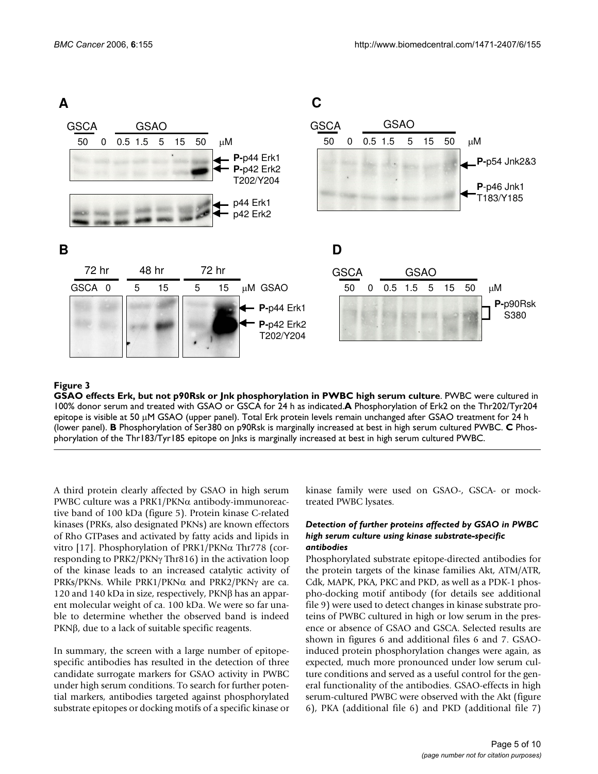

#### $\rho$  effects Erk, but not p90Rsk or Jnk pho  $\sigma$   $\sim$   $\sigma$   $\sim$   $\sigma$   $\sim$   $\sigma$   $\sim$   $\sigma$   $\sim$   $\sigma$   $\sim$   $\sigma$   $\sim$   $\sigma$   $\sim$   $\sigma$   $\sim$   $\sigma$   $\sim$   $\sigma$   $\sim$   $\sigma$   $\sim$   $\sigma$   $\sim$   $\sigma$   $\sim$   $\sigma$   $\sim$   $\sigma$   $\sim$   $\sigma$   $\sim$   $\sigma$   $\sim$

**GSAO effects Erk, but not p90Rsk or Jnk phosphorylation in PWBC high serum culture**. PWBC were cultured in 100% donor serum and treated with GSAO or GSCA for 24 h as indicated.**A** Phosphorylation of Erk2 on the Thr202/Tyr204 epitope is visible at 50 μM GSAO (upper panel). Total Erk protein levels remain unchanged after GSAO treatment for 24 h (lower panel). **B** Phosphorylation of Ser380 on p90Rsk is marginally increased at best in high serum cultured PWBC. **C** Phosphorylation of the Thr183/Tyr185 epitope on Jnks is marginally increased at best in high serum cultured PWBC.

A third protein clearly affected by GSAO in high serum PWBC culture was a PRK1/PKNα antibody-immunoreactive band of 100 kDa (figure 5). Protein kinase C-related kinases (PRKs, also designated PKNs) are known effectors of Rho GTPases and activated by fatty acids and lipids in vitro [17]. Phosphorylation of PRK1/PKNα Thr778 (corresponding to PRK2/PKNγ Thr816) in the activation loop of the kinase leads to an increased catalytic activity of PRKs/PKNs. While PRK1/PKN $\alpha$  and PRK2/PKN $\gamma$  are ca. 120 and 140 kDa in size, respectively, PKNβ has an apparent molecular weight of ca. 100 kDa. We were so far unable to determine whether the observed band is indeed PKNβ, due to a lack of suitable specific reagents.

In summary, the screen with a large number of epitopespecific antibodies has resulted in the detection of three candidate surrogate markers for GSAO activity in PWBC under high serum conditions. To search for further potential markers, antibodies targeted against phosphorylated substrate epitopes or docking motifs of a specific kinase or

kinase family were used on GSAO-, GSCA- or mocktreated PWBC lysates.

#### *Detection of further proteins affected by GSAO in PWBC high serum culture using kinase substrate-specific antibodies*

Phosphorylated substrate epitope-directed antibodies for the protein targets of the kinase families Akt, ATM/ATR, Cdk, MAPK, PKA, PKC and PKD, as well as a PDK-1 phospho-docking motif antibody (for details see additional file 9) were used to detect changes in kinase substrate proteins of PWBC cultured in high or low serum in the presence or absence of GSAO and GSCA. Selected results are shown in figures 6 and additional files 6 and 7. GSAOinduced protein phosphorylation changes were again, as expected, much more pronounced under low serum culture conditions and served as a useful control for the general functionality of the antibodies. GSAO-effects in high serum-cultured PWBC were observed with the Akt (figure 6), PKA (additional file 6) and PKD (additional file 7)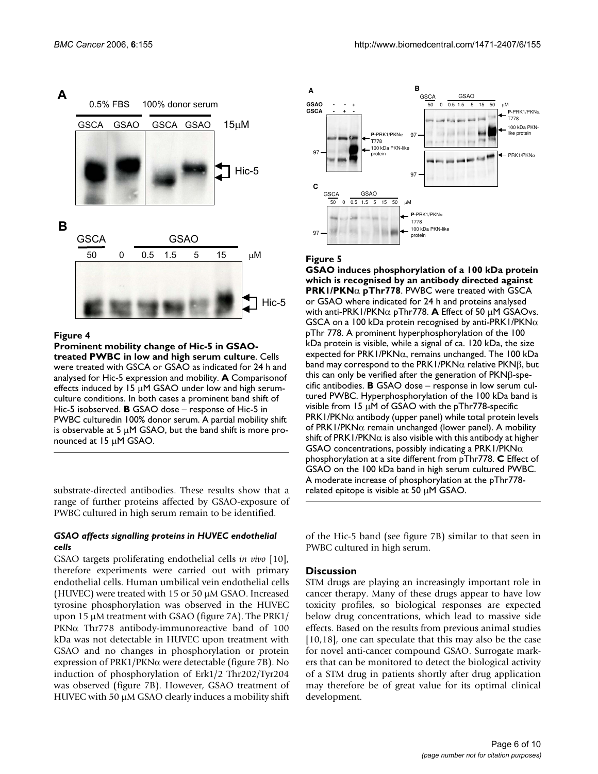

#### **Figure 4**

**Prominent mobility change of Hic-5 in GSAOtreated PWBC in low and high serum culture**. Cells were treated with GSCA or GSAO as indicated for 24 h and analysed for Hic-5 expression and mobility. **A** Comparisonof effects induced by 15 μM GSAO under low and high serumculture conditions. In both cases a prominent band shift of Hic-5 isobserved. **B** GSAO dose – response of Hic-5 in PWBC culturedin 100% donor serum. A partial mobility shift is observable at 5  $\mu$ M GSAO, but the band shift is more pronounced at 15 μM GSAO.

substrate-directed antibodies. These results show that a range of further proteins affected by GSAO-exposure of PWBC cultured in high serum remain to be identified.

#### *GSAO affects signalling proteins in HUVEC endothelial cells*

GSAO targets proliferating endothelial cells *in vivo* [10], therefore experiments were carried out with primary endothelial cells. Human umbilical vein endothelial cells (HUVEC) were treated with 15 or 50 μM GSAO. Increased tyrosine phosphorylation was observed in the HUVEC upon 15 μM treatment with GSAO (figure 7A). The PRK1/ PKNα Thr778 antibody-immunoreactive band of 100 kDa was not detectable in HUVEC upon treatment with GSAO and no changes in phosphorylation or protein expression of PRK1/PKNα were detectable (figure 7B). No induction of phosphorylation of Erk1/2 Thr202/Tyr204 was observed (figure 7B). However, GSAO treatment of HUVEC with 50 μM GSAO clearly induces a mobility shift



#### Figure 5

**GSAO induces phosphorylation of a 100 kDa protein which is recognised by an antibody directed against PRK1/PKN**α **pThr778**. PWBC were treated with GSCA or GSAO where indicated for 24 h and proteins analysed with anti-PRK1/PKNα pThr778. **A** Effect of 50 μM GSAOvs. GSCA on a 100 kDa protein recognised by anti-PRK1/PKN $\alpha$ pThr 778. A prominent hyperphosphorylation of the 100 kDa protein is visible, while a signal of ca. 120 kDa, the size expected for PRK1/PKN $\alpha$ , remains unchanged. The 100 kDa band may correspond to the PRK1/PKN $\alpha$  relative PKN $\beta$ , but this can only be verified after the generation of PKNβ-specific antibodies. **B** GSAO dose – response in low serum cultured PWBC. Hyperphosphorylation of the 100 kDa band is visible from 15 μM of GSAO with the pThr778-specific PRK1/PKN $\alpha$  antibody (upper panel) while total protein levels of PRK1/PKNα remain unchanged (lower panel). A mobility shift of PRK1/PKN $\alpha$  is also visible with this antibody at higher GSAO concentrations, possibly indicating a PRK1/PKN $\alpha$ phosphorylation at a site different from pThr778. **C** Effect of GSAO on the 100 kDa band in high serum cultured PWBC. A moderate increase of phosphorylation at the pThr778 related epitope is visible at 50 μM GSAO.

of the Hic-5 band (see figure 7B) similar to that seen in PWBC cultured in high serum.

#### **Discussion**

STM drugs are playing an increasingly important role in cancer therapy. Many of these drugs appear to have low toxicity profiles, so biological responses are expected below drug concentrations, which lead to massive side effects. Based on the results from previous animal studies [10,18], one can speculate that this may also be the case for novel anti-cancer compound GSAO. Surrogate markers that can be monitored to detect the biological activity of a STM drug in patients shortly after drug application may therefore be of great value for its optimal clinical development.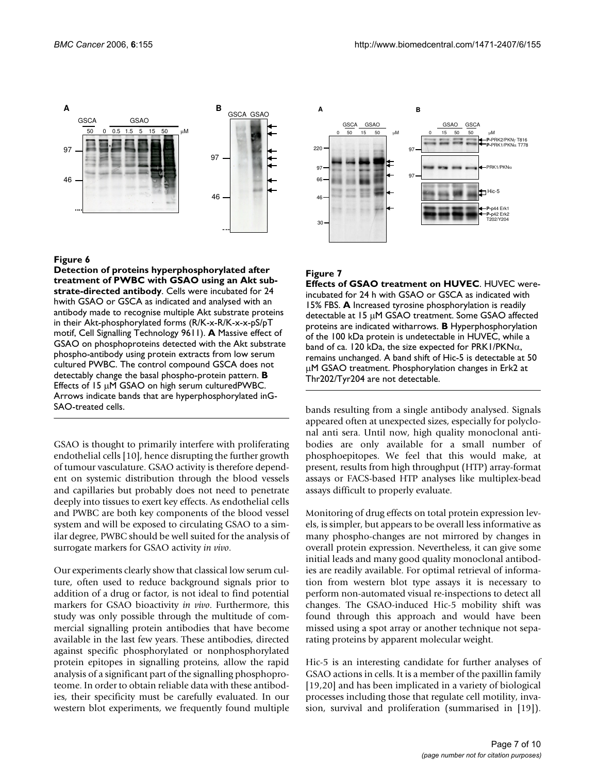

#### Figure 6

**Detection of proteins hyperphosphorylated after treatment of PWBC with GSAO using an Akt substrate-directed antibody**. Cells were incubated for 24 hwith GSAO or GSCA as indicated and analysed with an antibody made to recognise multiple Akt substrate proteins in their Akt-phosphorylated forms (R/K-x-R/K-x-x-pS/pT motif, Cell Signalling Technology 9611). **A** Massive effect of GSAO on phosphoproteins detected with the Akt substrate phospho-antibody using protein extracts from low serum cultured PWBC. The control compound GSCA does not detectably change the basal phospho-protein pattern. **B**  Effects of 15 μM GSAO on high serum culturedPWBC. Arrows indicate bands that are hyperphosphorylated inG-SAO-treated cells.

GSAO is thought to primarily interfere with proliferating endothelial cells [10], hence disrupting the further growth of tumour vasculature. GSAO activity is therefore dependent on systemic distribution through the blood vessels and capillaries but probably does not need to penetrate deeply into tissues to exert key effects. As endothelial cells and PWBC are both key components of the blood vessel system and will be exposed to circulating GSAO to a similar degree, PWBC should be well suited for the analysis of surrogate markers for GSAO activity *in vivo*.

Our experiments clearly show that classical low serum culture, often used to reduce background signals prior to addition of a drug or factor, is not ideal to find potential markers for GSAO bioactivity *in vivo*. Furthermore, this study was only possible through the multitude of commercial signalling protein antibodies that have become available in the last few years. These antibodies, directed against specific phosphorylated or nonphosphorylated protein epitopes in signalling proteins, allow the rapid analysis of a significant part of the signalling phosphoproteome. In order to obtain reliable data with these antibodies, their specificity must be carefully evaluated. In our western blot experiments, we frequently found multiple



### **Figure 7**

**Effects of GSAO treatment on HUVEC**. HUVEC wereincubated for 24 h with GSAO or GSCA as indicated with 15% FBS. **A** Increased tyrosine phosphorylation is readily detectable at 15 μM GSAO treatment. Some GSAO affected proteins are indicated witharrows. **B** Hyperphosphorylation of the 100 kDa protein is undetectable in HUVEC, while a band of ca. 120 kDa, the size expected for PRK1/PKN $\alpha$ , remains unchanged. A band shift of Hic-5 is detectable at 50 μM GSAO treatment. Phosphorylation changes in Erk2 at Thr202/Tyr204 are not detectable.

bands resulting from a single antibody analysed. Signals appeared often at unexpected sizes, especially for polyclonal anti sera. Until now, high quality monoclonal antibodies are only available for a small number of phosphoepitopes. We feel that this would make, at present, results from high throughput (HTP) array-format assays or FACS-based HTP analyses like multiplex-bead assays difficult to properly evaluate.

Monitoring of drug effects on total protein expression levels, is simpler, but appears to be overall less informative as many phospho-changes are not mirrored by changes in overall protein expression. Nevertheless, it can give some initial leads and many good quality monoclonal antibodies are readily available. For optimal retrieval of information from western blot type assays it is necessary to perform non-automated visual re-inspections to detect all changes. The GSAO-induced Hic-5 mobility shift was found through this approach and would have been missed using a spot array or another technique not separating proteins by apparent molecular weight.

Hic-5 is an interesting candidate for further analyses of GSAO actions in cells. It is a member of the paxillin family [19,20] and has been implicated in a variety of biological processes including those that regulate cell motility, invasion, survival and proliferation (summarised in [19]).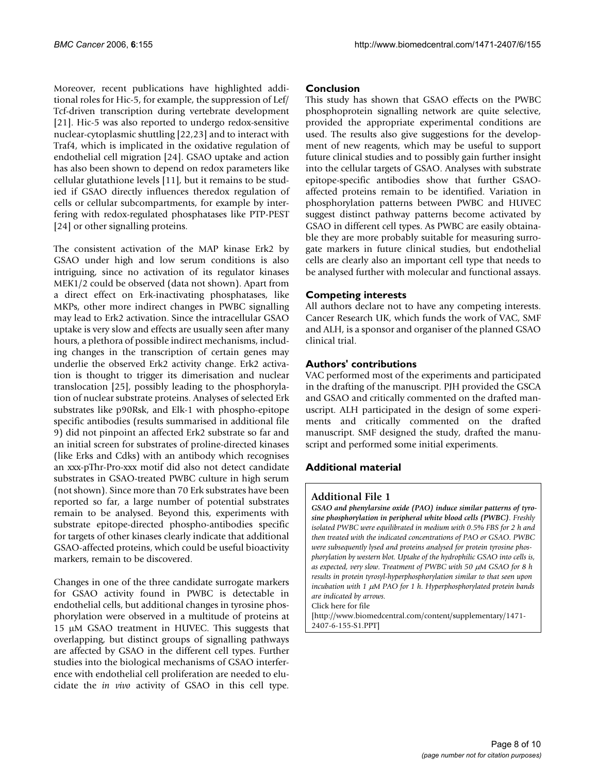Moreover, recent publications have highlighted additional roles for Hic-5, for example, the suppression of Lef/ Tcf-driven transcription during vertebrate development [21]. Hic-5 was also reported to undergo redox-sensitive nuclear-cytoplasmic shuttling [22,23] and to interact with Traf4, which is implicated in the oxidative regulation of endothelial cell migration [24]. GSAO uptake and action has also been shown to depend on redox parameters like cellular glutathione levels [11], but it remains to be studied if GSAO directly influences theredox regulation of cells or cellular subcompartments, for example by interfering with redox-regulated phosphatases like PTP-PEST [24] or other signalling proteins.

The consistent activation of the MAP kinase Erk2 by GSAO under high and low serum conditions is also intriguing, since no activation of its regulator kinases MEK1/2 could be observed (data not shown). Apart from a direct effect on Erk-inactivating phosphatases, like MKPs, other more indirect changes in PWBC signalling may lead to Erk2 activation. Since the intracellular GSAO uptake is very slow and effects are usually seen after many hours, a plethora of possible indirect mechanisms, including changes in the transcription of certain genes may underlie the observed Erk2 activity change. Erk2 activation is thought to trigger its dimerisation and nuclear translocation [25], possibly leading to the phosphorylation of nuclear substrate proteins. Analyses of selected Erk substrates like p90Rsk, and Elk-1 with phospho-epitope specific antibodies (results summarised in additional file 9) did not pinpoint an affected Erk2 substrate so far and an initial screen for substrates of proline-directed kinases (like Erks and Cdks) with an antibody which recognises an xxx-pThr-Pro-xxx motif did also not detect candidate substrates in GSAO-treated PWBC culture in high serum (not shown). Since more than 70 Erk substrates have been reported so far, a large number of potential substrates remain to be analysed. Beyond this, experiments with substrate epitope-directed phospho-antibodies specific for targets of other kinases clearly indicate that additional GSAO-affected proteins, which could be useful bioactivity markers, remain to be discovered.

Changes in one of the three candidate surrogate markers for GSAO activity found in PWBC is detectable in endothelial cells, but additional changes in tyrosine phosphorylation were observed in a multitude of proteins at 15 μM GSAO treatment in HUVEC. This suggests that overlapping, but distinct groups of signalling pathways are affected by GSAO in the different cell types. Further studies into the biological mechanisms of GSAO interference with endothelial cell proliferation are needed to elucidate the *in vivo* activity of GSAO in this cell type.

#### **Conclusion**

This study has shown that GSAO effects on the PWBC phosphoprotein signalling network are quite selective, provided the appropriate experimental conditions are used. The results also give suggestions for the development of new reagents, which may be useful to support future clinical studies and to possibly gain further insight into the cellular targets of GSAO. Analyses with substrate epitope-specific antibodies show that further GSAOaffected proteins remain to be identified. Variation in phosphorylation patterns between PWBC and HUVEC suggest distinct pathway patterns become activated by GSAO in different cell types. As PWBC are easily obtainable they are more probably suitable for measuring surrogate markers in future clinical studies, but endothelial cells are clearly also an important cell type that needs to be analysed further with molecular and functional assays.

# **Competing interests**

All authors declare not to have any competing interests. Cancer Research UK, which funds the work of VAC, SMF and ALH, is a sponsor and organiser of the planned GSAO clinical trial.

# **Authors' contributions**

VAC performed most of the experiments and participated in the drafting of the manuscript. PJH provided the GSCA and GSAO and critically commented on the drafted manuscript. ALH participated in the design of some experiments and critically commented on the drafted manuscript. SMF designed the study, drafted the manuscript and performed some initial experiments.

# **Additional material**

#### **Additional File 1**

*GSAO and phenylarsine oxide (PAO) induce similar patterns of tyrosine phosphorylation in peripheral white blood cells (PWBC). Freshly isolated PWBC were equilibrated in medium with 0.5% FBS for 2 h and then treated with the indicated concentrations of PAO or GSAO. PWBC were subsequently lysed and proteins analysed for protein tyrosine phosphorylation by western blot. Uptake of the hydrophilic GSAO into cells is, as expected, very slow. Treatment of PWBC with 50* μ*M GSAO for 8 h results in protein tyrosyl-hyperphosphorylation similar to that seen upon incubation with 1* μ*M PAO for 1 h. Hyperphosphorylated protein bands are indicated by arrows.*

Click here for file

[\[http://www.biomedcentral.com/content/supplementary/1471-](http://www.biomedcentral.com/content/supplementary/1471-2407-6-155-S1.PPT) 2407-6-155-S1.PPT]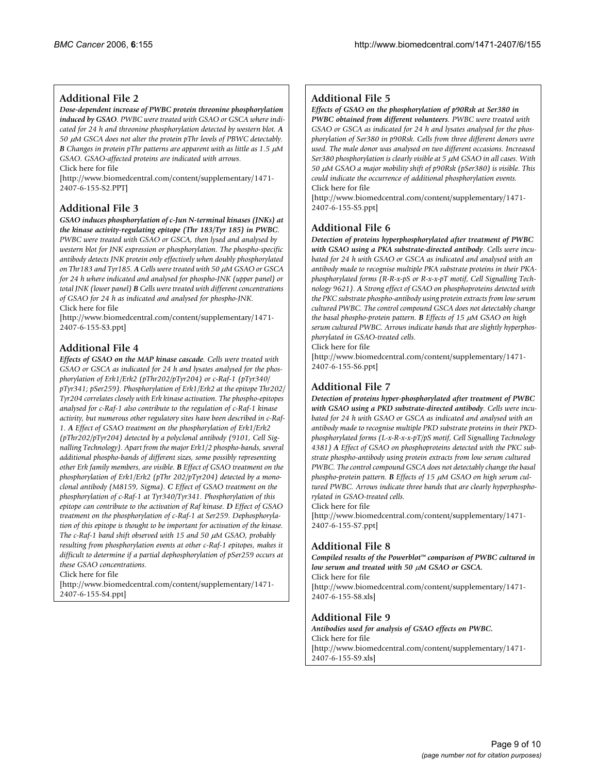# **Additional File 2**

*Dose-dependent increase of PWBC protein threonine phosphorylation induced by GSAO. PWBC were treated with GSAO or GSCA where indicated for 24 h and threonine phosphorylation detected by western blot. A 50* μ*M GSCA does not alter the protein pThr levels of PBWC detectably. B Changes in protein pThr patterns are apparent with as little as 1.5* μ*M GSAO. GSAO-affected proteins are indicated with arrows.*

Click here for file

[\[http://www.biomedcentral.com/content/supplementary/1471-](http://www.biomedcentral.com/content/supplementary/1471-2407-6-155-S2.PPT) 2407-6-155-S2.PPT]

# **Additional File 3**

*GSAO induces phosphorylation of c-Jun N-terminal kinases (JNKs) at the kinase activity-regulating epitope (Thr 183/Tyr 185) in PWBC. PWBC were treated with GSAO or GSCA, then lysed and analysed by western blot for JNK expression or phosphorylation. The phospho-specific antibody detects JNK protein only effectively when doubly phosphorylated on Thr183 and Tyr185. A Cells were treated with 50* μ*M GSAO or GSCA for 24 h where indicated and analysed for phospho-JNK (upper panel) or total JNK (lower panel) B Cells were treated with different concentrations of GSAO for 24 h as indicated and analysed for phospho-JNK.* Click here for file

[\[http://www.biomedcentral.com/content/supplementary/1471-](http://www.biomedcentral.com/content/supplementary/1471-2407-6-155-S3.ppt) 2407-6-155-S3.ppt]

# **Additional File 4**

*Effects of GSAO on the MAP kinase cascade. Cells were treated with GSAO or GSCA as indicated for 24 h and lysates analysed for the phosphorylation of Erk1/Erk2 (pThr202/pTyr204) or c-Raf-1 (pTyr340/ pTyr341; pSer259). Phosphorylation of Erk1/Erk2 at the epitope Thr202/ Tyr204 correlates closely with Erk kinase activation. The phospho-epitopes analysed for c-Raf-1 also contribute to the regulation of c-Raf-1 kinase activity, but numerous other regulatory sites have been described in c-Raf-1. A Effect of GSAO treatment on the phosphorylation of Erk1/Erk2 (pThr202/pTyr204) detected by a polyclonal antibody (9101, Cell Signalling Technology). Apart from the major Erk1/2 phospho-bands, several additional phospho-bands of different sizes, some possibly representing other Erk family members, are visible. B Effect of GSAO treatment on the phosphorylation of Erk1/Erk2 (pThr 202/pTyr204) detected by a monoclonal antibody (M8159, Sigma). C Effect of GSAO treatment on the phosphorylation of c-Raf-1 at Tyr340/Tyr341. Phosphorylation of this epitope can contribute to the activation of Raf kinase. D Effect of GSAO treatment on the phosphorylation of c-Raf-1 at Ser259. Dephosphorylation of this epitope is thought to be important for activation of the kinase. The c-Raf-1 band shift observed with 15 and 50* μ*M GSAO, probably resulting from phosphorylation events at other c-Raf-1 epitopes, makes it difficult to determine if a partial dephosphorylation of pSer259 occurs at these GSAO concentrations.*

Click here for file

[\[http://www.biomedcentral.com/content/supplementary/1471-](http://www.biomedcentral.com/content/supplementary/1471-2407-6-155-S4.ppt) 2407-6-155-S4.ppt]

# **Additional File 5**

*Effects of GSAO on the phosphorylation of p90Rsk at Ser380 in PWBC obtained from different volunteers. PWBC were treated with GSAO or GSCA as indicated for 24 h and lysates analysed for the phosphorylation of Ser380 in p90Rsk. Cells from three different donors were used. The male donor was analysed on two different occasions. Increased Ser380 phosphorylation is clearly visible at 5* μ*M GSAO in all cases. With 50* μ*M GSAO a major mobility shift of p90Rsk (pSer380) is visible. This could indicate the occurrence of additional phosphorylation events.* Click here for file

[\[http://www.biomedcentral.com/content/supplementary/1471-](http://www.biomedcentral.com/content/supplementary/1471-2407-6-155-S5.ppt) 2407-6-155-S5.ppt]

# **Additional File 6**

*Detection of proteins hyperphosphorylated after treatment of PWBC with GSAO using a PKA substrate-directed antibody. Cells were incubated for 24 h with GSAO or GSCA as indicated and analysed with an antibody made to recognise multiple PKA substrate proteins in their PKAphosphorylated forms (R-R-x-pS or R-x-x-pT motif, Cell Signalling Technology 9621). A Strong effect of GSAO on phosphoproteins detected with the PKC substrate phospho-antibody using protein extracts from low serum cultured PWBC. The control compound GSCA does not detectably change the basal phospho-protein pattern. B Effects of 15* μ*M GSAO on high serum cultured PWBC. Arrows indicate bands that are slightly hyperphosphorylated in GSAO-treated cells.*

Click here for file

[\[http://www.biomedcentral.com/content/supplementary/1471-](http://www.biomedcentral.com/content/supplementary/1471-2407-6-155-S6.ppt) 2407-6-155-S6.ppt]

# **Additional File 7**

*Detection of proteins hyper-phosphorylated after treatment of PWBC with GSAO using a PKD substrate-directed antibody. Cells were incubated for 24 h with GSAO or GSCA as indicated and analysed with an antibody made to recognise multiple PKD substrate proteins in their PKDphosphorylated forms (L-x-R-x-x-pT/pS motif, Cell Signalling Technology 4381) A Effect of GSAO on phosphoproteins detected with the PKC substrate phospho-antibody using protein extracts from low serum cultured PWBC. The control compound GSCA does not detectably change the basal phospho-protein pattern. B Effects of 15* μ*M GSAO on high serum cultured PWBC. Arrows indicate three bands that are clearly hyperphosphorylated in GSAO-treated cells.*

Click here for file

[\[http://www.biomedcentral.com/content/supplementary/1471-](http://www.biomedcentral.com/content/supplementary/1471-2407-6-155-S7.ppt) 2407-6-155-S7.ppt]

### **Additional File 8**

*Compiled results of the Powerblot™ comparison of PWBC cultured in low serum and treated with 50* μ*M GSAO or GSCA.* Click here for file [\[http://www.biomedcentral.com/content/supplementary/1471-](http://www.biomedcentral.com/content/supplementary/1471-2407-6-155-S8.xls) 2407-6-155-S8.xls]

### **Additional File 9**

*Antibodies used for analysis of GSAO effects on PWBC.* Click here for file [\[http://www.biomedcentral.com/content/supplementary/1471-](http://www.biomedcentral.com/content/supplementary/1471-2407-6-155-S9.xls) 2407-6-155-S9.xls]